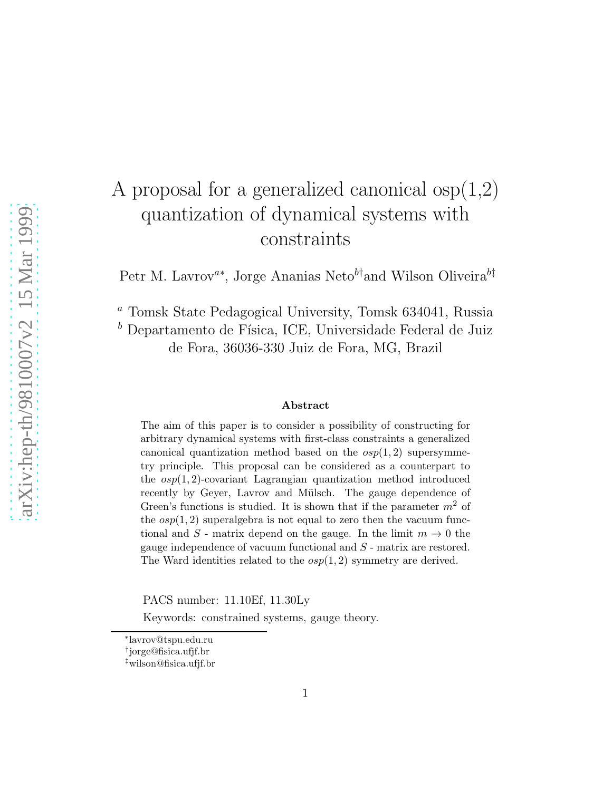# A proposal for a generalized canonical osp(1,2) quantization of dynamical systems with constraints

Petr M. Lavrov<sup>a∗</sup>, Jorge Ananias Neto<sup>b†</sup>and Wilson Oliveira<sup>b‡</sup>

<sup>a</sup> Tomsk State Pedagogical University, Tomsk 634041, Russia  $^b$  Departamento de Física, ICE, Universidade Federal de Juiz de Fora, 36036-330 Juiz de Fora, MG, Brazil

#### Abstract

The aim of this paper is to consider a possibility of constructing for arbitrary dynamical systems with first-class constraints a generalized canonical quantization method based on the  $osp(1, 2)$  supersymmetry principle. This proposal can be considered as a counterpart to the  $osp(1, 2)$ -covariant Lagrangian quantization method introduced recently by Geyer, Lavrov and Mülsch. The gauge dependence of Green's functions is studied. It is shown that if the parameter  $m^2$  of the  $osp(1, 2)$  superalgebra is not equal to zero then the vacuum functional and S - matrix depend on the gauge. In the limit  $m \to 0$  the gauge independence of vacuum functional and S - matrix are restored. The Ward identities related to the  $osp(1, 2)$  symmetry are derived.

PACS number: 11.10Ef, 11.30Ly

Keywords: constrained systems, gauge theory.

<sup>∗</sup> lavrov@tspu.edu.ru

<sup>†</sup> jorge@fisica.ufjf.br

<sup>‡</sup>wilson@fisica.ufjf.br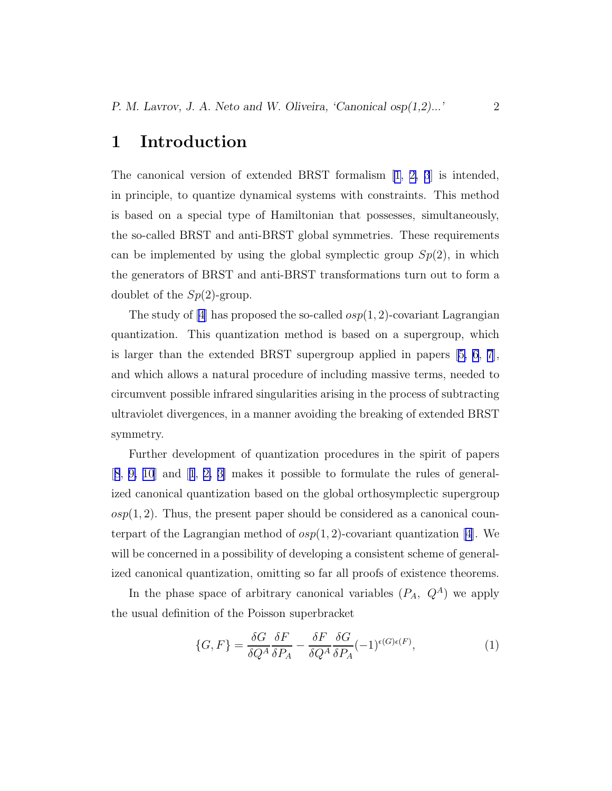#### 1 Introduction

The canonical version of extended BRST formalism [\[1, 2, 3](#page-9-0)] is intended, in principle, to quantize dynamical systems with constraints. This method is based on a special type of Hamiltonian that possesses, simultaneously, the so-called BRST and anti-BRST global symmetries. These requirements can be implemented by using the global symplectic group  $Sp(2)$ , in which the generators of BRST and anti-BRST transformations turn out to form a doublet of the  $Sp(2)$ -group.

The study of [\[4\]](#page-9-0) has proposed the so-called  $osp(1, 2)$ -covariant Lagrangian quantization. This quantization method is based on a supergroup, which is larger than the extended BRST supergroup applied in papers[[5, 6](#page-9-0), [7](#page-9-0)], and which allows a natural procedure of including massive terms, needed to circumvent possible infrared singularities arising in the process of subtracting ultraviolet divergences, in a manner avoiding the breaking of extended BRST symmetry.

Further development of quantization procedures in the spirit of papers [[8](#page-10-0), [9, 10](#page-10-0)] and[[1](#page-9-0), [2, 3\]](#page-9-0) makes it possible to formulate the rules of generalized canonical quantization based on the global orthosymplectic supergroup  $osp(1, 2)$ . Thus, the present paper should be considered as a canonical counterpart of the Lagrangian method of  $osp(1, 2)$ -covariant quantization [\[4](#page-9-0)]. We will be concerned in a possibility of developing a consistent scheme of generalized canonical quantization, omitting so far all proofs of existence theorems.

In the phase space of arbitrary canonical variables  $(P_A, Q^A)$  we apply the usual definition of the Poisson superbracket

$$
\{G, F\} = \frac{\delta G}{\delta Q^A} \frac{\delta F}{\delta P_A} - \frac{\delta F}{\delta Q^A} \frac{\delta G}{\delta P_A} (-1)^{\epsilon(G)\epsilon(F)},\tag{1}
$$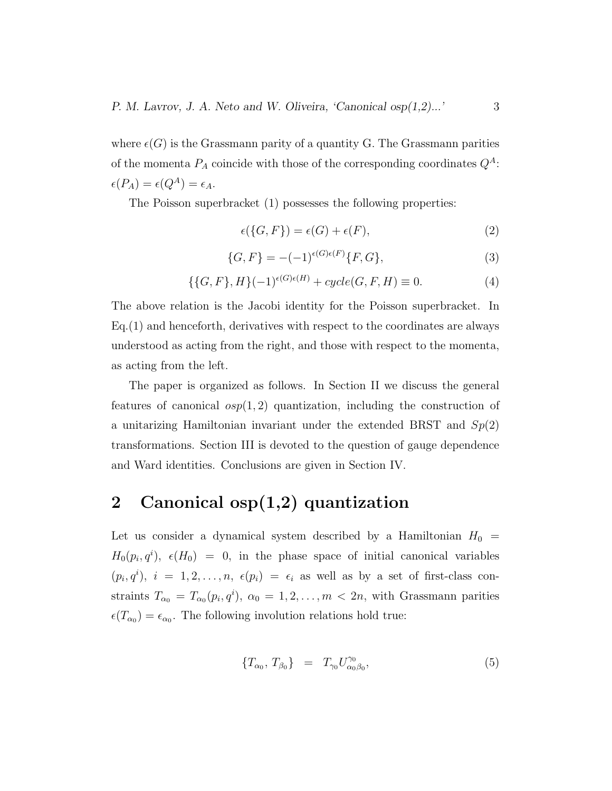where  $\epsilon(G)$  is the Grassmann parity of a quantity G. The Grassmann parities of the momenta  $P_A$  coincide with those of the corresponding coordinates  $Q^A$ :  $\epsilon(P_A) = \epsilon(Q^A) = \epsilon_A.$ 

The Poisson superbracket (1) possesses the following properties:

$$
\epsilon({G, F}) = \epsilon(G) + \epsilon(F),\tag{2}
$$

$$
\{G, F\} = -(-1)^{\epsilon(G)\epsilon(F)} \{F, G\},\tag{3}
$$

$$
\{\{G, F\}, H\}(-1)^{\epsilon(G)\epsilon(H)} + cycle(G, F, H) \equiv 0.
$$
\n<sup>(4)</sup>

The above relation is the Jacobi identity for the Poisson superbracket. In Eq.(1) and henceforth, derivatives with respect to the coordinates are always understood as acting from the right, and those with respect to the momenta, as acting from the left.

The paper is organized as follows. In Section II we discuss the general features of canonical  $osp(1, 2)$  quantization, including the construction of a unitarizing Hamiltonian invariant under the extended BRST and  $Sp(2)$ transformations. Section III is devoted to the question of gauge dependence and Ward identities. Conclusions are given in Section IV.

## 2 Canonical osp(1,2) quantization

Let us consider a dynamical system described by a Hamiltonian  $H_0 =$  $H_0(p_i, q^i)$ ,  $\epsilon(H_0) = 0$ , in the phase space of initial canonical variables  $(p_i, q^i), i = 1, 2, \ldots, n, \epsilon(p_i) = \epsilon_i$  as well as by a set of first-class constraints  $T_{\alpha_0} = T_{\alpha_0}(p_i, q^i), \ \alpha_0 = 1, 2, \ldots, m < 2n$ , with Grassmann parities  $\epsilon(T_{\alpha_0}) = \epsilon_{\alpha_0}$ . The following involution relations hold true:

$$
\{T_{\alpha_0}, T_{\beta_0}\} = T_{\gamma_0} U_{\alpha_0 \beta_0}^{\gamma_0}, \tag{5}
$$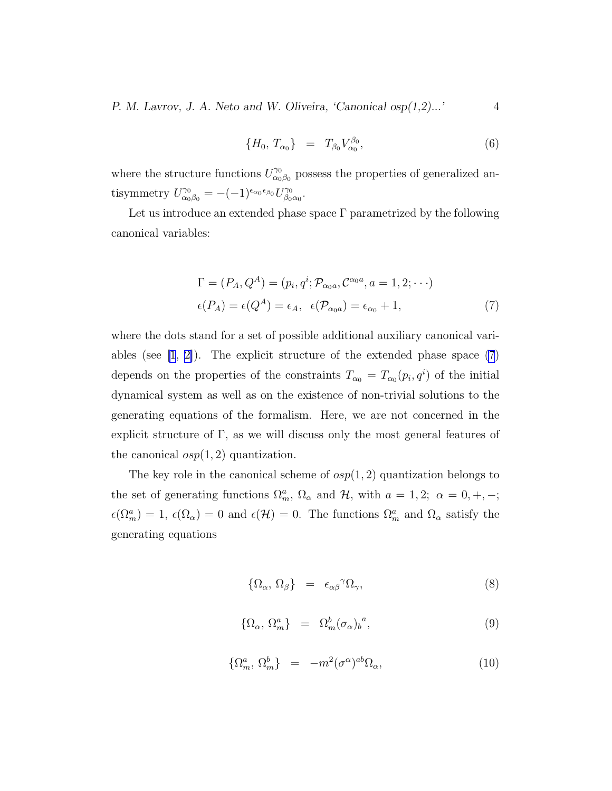P. M. Lavrov, J. A. Neto and W. Oliveira, 'Canonical  $osp(1,2)...$ ' 4

$$
\{H_0, T_{\alpha_0}\} = T_{\beta_0} V_{\alpha_0}^{\beta_0}, \tag{6}
$$

where the structure functions  $U_{\alpha_0}^{\gamma_0}$  $\gamma_{\alpha_0\beta_0}^{\gamma_0}$  possess the properties of generalized antisymmetry  $U_{\alpha_0\beta_0}^{\gamma_0} = -(-1)^{\epsilon_{\alpha_0}\epsilon_{\beta_0}} U_{\beta_0}^{\gamma_0}$ .γ0<br>β0α0 ·

Let us introduce an extended phase space  $\Gamma$  parametrized by the following canonical variables:

$$
\Gamma = (P_A, Q^A) = (p_i, q^i; \mathcal{P}_{\alpha_0 a}, C^{\alpha_0 a}, a = 1, 2; \cdots)
$$
  

$$
\epsilon(P_A) = \epsilon(Q^A) = \epsilon_A, \ \epsilon(\mathcal{P}_{\alpha_0 a}) = \epsilon_{\alpha_0} + 1,
$$
 (7)

where the dots stand for a set of possible additional auxiliary canonical variables (see  $[1, 2]$  $[1, 2]$ ). The explicit structure of the extended phase space  $(7)$ depends on the properties of the constraints  $T_{\alpha_0} = T_{\alpha_0}(p_i, q^i)$  of the initial dynamical system as well as on the existence of non-trivial solutions to the generating equations of the formalism. Here, we are not concerned in the explicit structure of  $\Gamma$ , as we will discuss only the most general features of the canonical  $osp(1, 2)$  quantization.

The key role in the canonical scheme of  $osp(1, 2)$  quantization belongs to the set of generating functions  $\Omega_m^a$ ,  $\Omega_\alpha$  and  $\mathcal{H}$ , with  $a = 1, 2; \alpha = 0, +, -;$  $\epsilon(\Omega_m^a) = 1$ ,  $\epsilon(\Omega_\alpha) = 0$  and  $\epsilon(\mathcal{H}) = 0$ . The functions  $\Omega_m^a$  and  $\Omega_\alpha$  satisfy the generating equations

$$
\{\Omega_{\alpha},\,\Omega_{\beta}\}\quad =\quad \epsilon_{\alpha\beta}^{\qquad\gamma}\Omega_{\gamma},\tag{8}
$$

$$
\{\Omega_{\alpha},\,\Omega_m^a\} \quad = \quad \Omega_m^b(\sigma_{\alpha})_b^{\ a},\tag{9}
$$

$$
\{\Omega_m^a, \Omega_m^b\} = -m^2(\sigma^\alpha)^{ab}\Omega_\alpha,\tag{10}
$$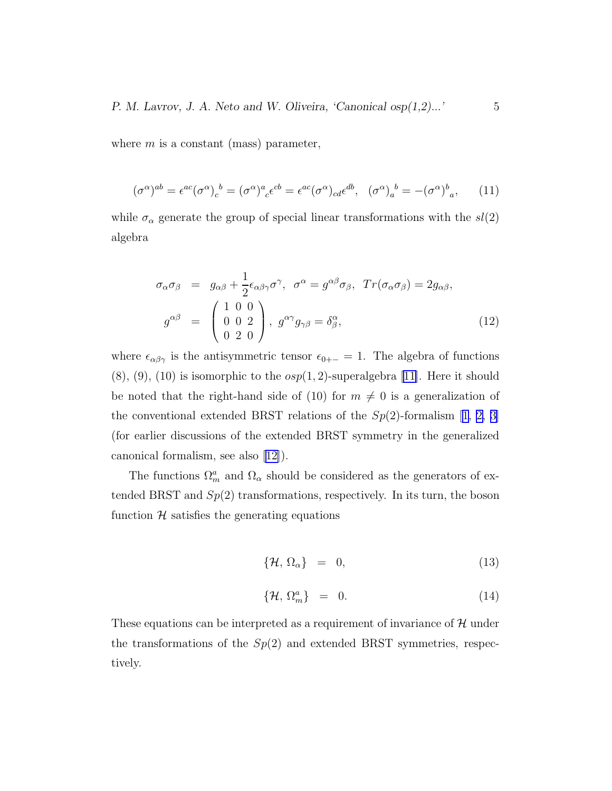<span id="page-4-0"></span>where  $m$  is a constant (mass) parameter,

$$
(\sigma^{\alpha})^{ab} = \epsilon^{ac} (\sigma^{\alpha})_c^{\ b} = (\sigma^{\alpha})^a{}_c \epsilon^{cb} = \epsilon^{ac} (\sigma^{\alpha})_{cd} \epsilon^{db}, \quad (\sigma^{\alpha})_a^{\ b} = -(\sigma^{\alpha})^b{}_a, \tag{11}
$$

while  $\sigma_{\alpha}$  generate the group of special linear transformations with the  $sl(2)$ algebra

$$
\sigma_{\alpha}\sigma_{\beta} = g_{\alpha\beta} + \frac{1}{2}\epsilon_{\alpha\beta\gamma}\sigma^{\gamma}, \quad \sigma^{\alpha} = g^{\alpha\beta}\sigma_{\beta}, \quad Tr(\sigma_{\alpha}\sigma_{\beta}) = 2g_{\alpha\beta},
$$

$$
g^{\alpha\beta} = \begin{pmatrix} 1 & 0 & 0 \\ 0 & 0 & 2 \\ 0 & 2 & 0 \end{pmatrix}, \quad g^{\alpha\gamma}g_{\gamma\beta} = \delta^{\alpha}_{\beta}, \tag{12}
$$

where  $\epsilon_{\alpha\beta\gamma}$  is the antisymmetric tensor  $\epsilon_{0+-} = 1$ . The algebra of functions  $(8), (9), (10)$  is isomorphic to the  $osp(1, 2)$ -superalgebra [\[11\]](#page-10-0). Here it should be noted that the right-hand side of (10) for  $m \neq 0$  is a generalization of theconventional extended BRST relations of the  $Sp(2)$ -formalism [[1, 2, 3\]](#page-9-0) (for earlier discussions of the extended BRST symmetry in the generalized canonical formalism, see also [\[12\]](#page-10-0)).

The functions  $\Omega_m^a$  and  $\Omega_\alpha$  should be considered as the generators of extended BRST and  $Sp(2)$  transformations, respectively. In its turn, the boson function  $H$  satisfies the generating equations

$$
\{\mathcal{H}, \,\Omega_{\alpha}\} = 0,\tag{13}
$$

$$
\{\mathcal{H},\,\Omega_m^a\}\quad =\quad 0.\tag{14}
$$

These equations can be interpreted as a requirement of invariance of  $\mathcal{H}$  under the transformations of the  $Sp(2)$  and extended BRST symmetries, respectively.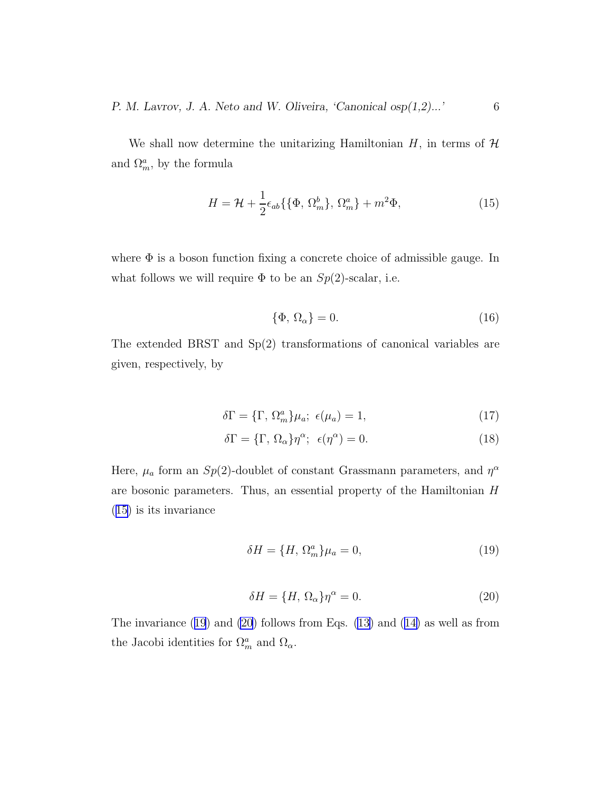<span id="page-5-0"></span>We shall now determine the unitarizing Hamiltonian  $H$ , in terms of  $H$ and  $\Omega_m^a$ , by the formula

$$
H = \mathcal{H} + \frac{1}{2} \epsilon_{ab} \{ \{\Phi, \Omega_m^b\}, \Omega_m^a \} + m^2 \Phi,
$$
\n(15)

where  $\Phi$  is a boson function fixing a concrete choice of admissible gauge. In what follows we will require  $\Phi$  to be an  $Sp(2)$ -scalar, i.e.

$$
\{\Phi, \Omega_{\alpha}\} = 0. \tag{16}
$$

The extended BRST and Sp(2) transformations of canonical variables are given, respectively, by

$$
\delta\Gamma = \{\Gamma, \Omega_m^a\} \mu_a; \ \epsilon(\mu_a) = 1,\tag{17}
$$

$$
\delta\Gamma = \{\Gamma, \Omega_{\alpha}\}\eta^{\alpha}; \epsilon(\eta^{\alpha}) = 0. \tag{18}
$$

Here,  $\mu_a$  form an  $Sp(2)$ -doublet of constant Grassmann parameters, and  $\eta^{\alpha}$ are bosonic parameters. Thus, an essential property of the Hamiltonian H (15) is its invariance

$$
\delta H = \{H, \Omega_m^a\} \mu_a = 0,\tag{19}
$$

$$
\delta H = \{H, \Omega_{\alpha}\}\eta^{\alpha} = 0. \tag{20}
$$

Theinvariance  $(19)$  and  $(20)$  follows from Eqs.  $(13)$  and  $(14)$  $(14)$  as well as from the Jacobi identities for  $\Omega_m^a$  and  $\Omega_\alpha$ .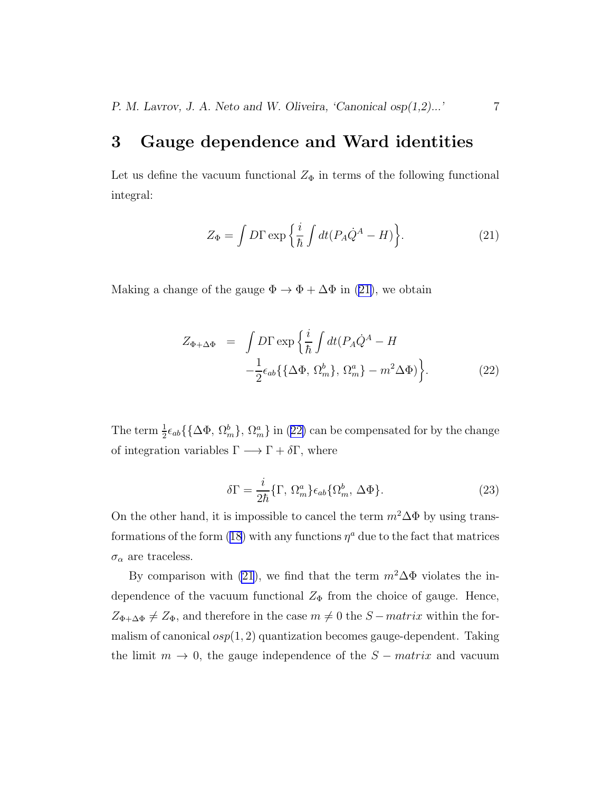#### <span id="page-6-0"></span>3 Gauge dependence and Ward identities

Let us define the vacuum functional  $Z_{\Phi}$  in terms of the following functional integral:

$$
Z_{\Phi} = \int D\Gamma \exp\left\{\frac{i}{\hbar} \int dt (P_A \dot{Q}^A - H)\right\}.
$$
 (21)

Making a change of the gauge  $\Phi \to \Phi + \Delta \Phi$  in (21), we obtain

$$
Z_{\Phi+\Delta\Phi} = \int D\Gamma \exp\left\{\frac{i}{\hbar} \int dt (P_A \dot{Q}^A - H -\frac{1}{2} \epsilon_{ab} \{ \{\Delta\Phi, \Omega_m^b\}, \Omega_m^a \} - m^2 \Delta\Phi) \right\}.
$$
 (22)

The term  $\frac{1}{2}\epsilon_{ab} \{\{\Delta \Phi, \Omega_m^b\}, \Omega_m^a\}$  in (22) can be compensated for by the change of integration variables  $\Gamma \longrightarrow \Gamma + \delta \Gamma$ , where

$$
\delta\Gamma = \frac{i}{2\hbar} \{\Gamma, \,\Omega_m^a \} \epsilon_{ab} \{\Omega_m^b, \,\Delta\Phi \}.
$$
 (23)

On the other hand, it is impossible to cancel the term  $m^2\Delta\Phi$  by using trans-formations of the form [\(18\)](#page-5-0) with any functions  $\eta^a$  due to the fact that matrices  $\sigma_{\alpha}$  are traceless.

By comparison with (21), we find that the term  $m^2\Delta\Phi$  violates the independence of the vacuum functional  $Z_{\Phi}$  from the choice of gauge. Hence,  $Z_{\Phi+\Delta\Phi} \neq Z_{\Phi}$ , and therefore in the case  $m \neq 0$  the  $S-matrix$  within the formalism of canonical  $osp(1, 2)$  quantization becomes gauge-dependent. Taking the limit  $m \to 0$ , the gauge independence of the  $S - matrix$  and vacuum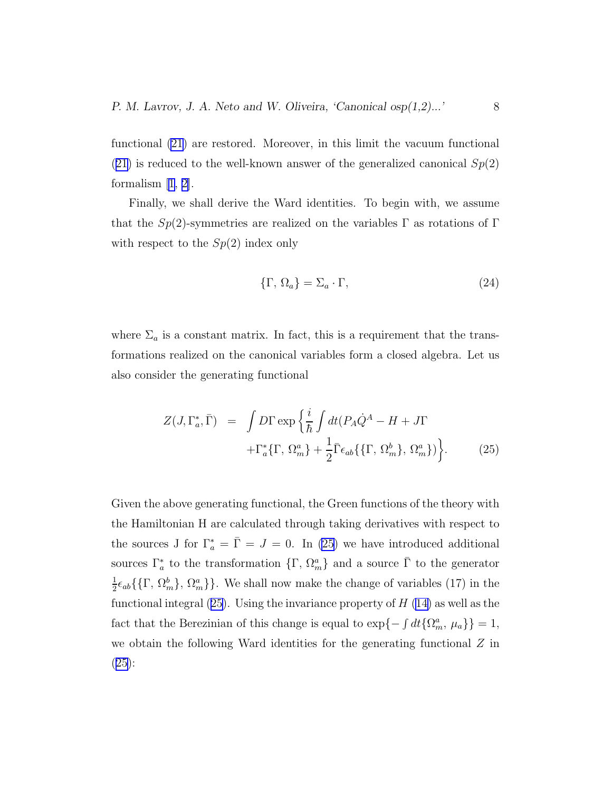<span id="page-7-0"></span>functional [\(21](#page-6-0)) are restored. Moreover, in this limit the vacuum functional  $(21)$  $(21)$  is reduced to the well-known answer of the generalized canonical  $Sp(2)$ formalism[[1, 2\]](#page-9-0).

Finally, we shall derive the Ward identities. To begin with, we assume that the  $Sp(2)$ -symmetries are realized on the variables  $\Gamma$  as rotations of  $\Gamma$ with respect to the  $Sp(2)$  index only

$$
\{\Gamma, \Omega_a\} = \Sigma_a \cdot \Gamma,\tag{24}
$$

where  $\Sigma_a$  is a constant matrix. In fact, this is a requirement that the transformations realized on the canonical variables form a closed algebra. Let us also consider the generating functional

$$
Z(J, \Gamma_a^*, \bar{\Gamma}) = \int D\Gamma \exp\left\{\frac{i}{\hbar} \int dt (P_A \dot{Q}^A - H + J\Gamma + \Gamma_a^* \{\Gamma, \Omega_m^a\} + \frac{1}{2} \bar{\Gamma} \epsilon_{ab} \{\{\Gamma, \Omega_m^b\}, \Omega_m^a\} )\right\}.
$$
 (25)

Given the above generating functional, the Green functions of the theory with the Hamiltonian H are calculated through taking derivatives with respect to the sources J for  $\Gamma_a^* = \overline{\Gamma} = J = 0$ . In (25) we have introduced additional sources  $\Gamma_a^*$  to the transformation  $\{\Gamma, \Omega_m^a\}$  and a source  $\overline{\Gamma}$  to the generator 1  $\frac{1}{2}\epsilon_{ab} \{\{\Gamma, \Omega_m^b\}, \Omega_m^a\}\}.$  We shall now make the change of variables (17) in the functional integral  $(25)$ . Using the invariance property of  $H(14)$  $H(14)$  as well as the fact that the Berezinian of this change is equal to  $\exp\{-\int dt\{\Omega_m^a, \mu_a\}\}=1$ , we obtain the following Ward identities for the generating functional  $Z$  in (25):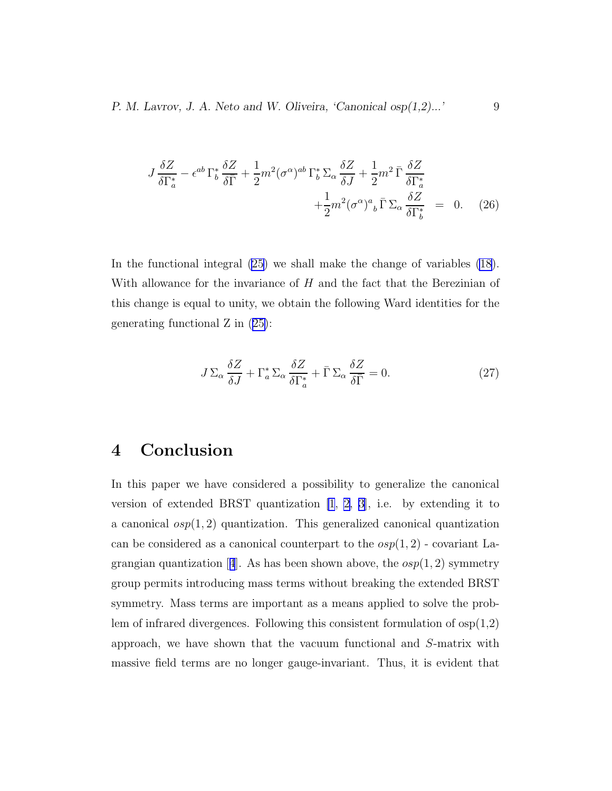P. M. Lavrov, J. A. Neto and W. Oliveira, 'Canonical osp $(1,2)$ ...' 9

$$
J\frac{\delta Z}{\delta \Gamma_a^*} - \epsilon^{ab} \Gamma_b^* \frac{\delta Z}{\delta \bar{\Gamma}} + \frac{1}{2} m^2 (\sigma^{\alpha})^{ab} \Gamma_b^* \Sigma_\alpha \frac{\delta Z}{\delta J} + \frac{1}{2} m^2 \bar{\Gamma} \frac{\delta Z}{\delta \Gamma_a^*} + \frac{1}{2} m^2 (\sigma^{\alpha})^a{}_b \bar{\Gamma} \Sigma_\alpha \frac{\delta Z}{\delta \Gamma_b^*} = 0. \quad (26)
$$

In the functional integral [\(25\)](#page-7-0) we shall make the change of variables [\(18](#page-5-0)). With allowance for the invariance of  $H$  and the fact that the Berezinian of this change is equal to unity, we obtain the following Ward identities for the generating functional Z in([25\)](#page-7-0):

$$
J\Sigma_{\alpha} \frac{\delta Z}{\delta J} + \Gamma_{a}^{*} \Sigma_{\alpha} \frac{\delta Z}{\delta \Gamma_{a}^{*}} + \bar{\Gamma} \Sigma_{\alpha} \frac{\delta Z}{\delta \bar{\Gamma}} = 0.
$$
 (27)

#### 4 Conclusion

In this paper we have considered a possibility to generalize the canonical version of extended BRST quantization [\[1](#page-9-0), [2](#page-9-0), [3\]](#page-9-0), i.e. by extending it to a canonical  $osp(1, 2)$  quantization. This generalized canonical quantization can be considered as a canonical counterpart to the  $osp(1, 2)$  - covariant La-grangianquantization [[4](#page-9-0)]. As has been shown above, the  $osp(1, 2)$  symmetry group permits introducing mass terms without breaking the extended BRST symmetry. Mass terms are important as a means applied to solve the problem of infrared divergences. Following this consistent formulation of  $\exp(1,2)$ approach, we have shown that the vacuum functional and S-matrix with massive field terms are no longer gauge-invariant. Thus, it is evident that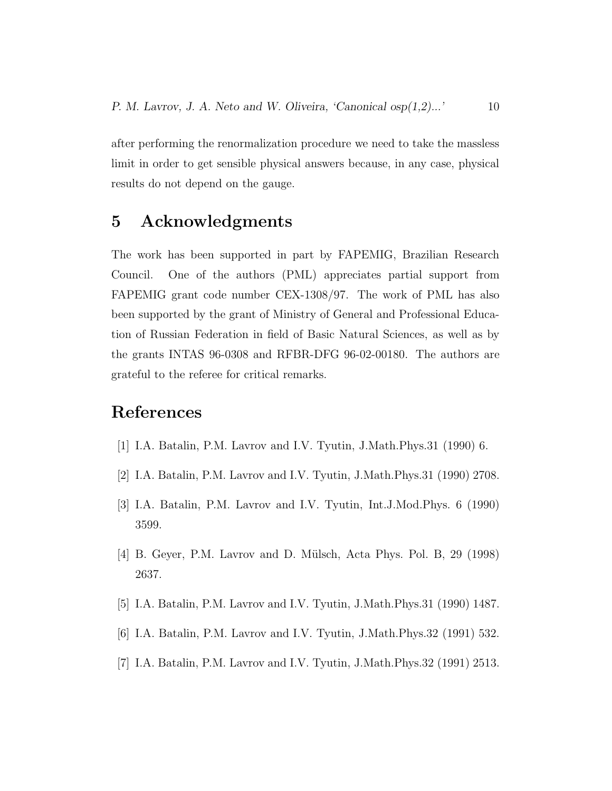<span id="page-9-0"></span>after performing the renormalization procedure we need to take the massless limit in order to get sensible physical answers because, in any case, physical results do not depend on the gauge.

### 5 Acknowledgments

The work has been supported in part by FAPEMIG, Brazilian Research Council. One of the authors (PML) appreciates partial support from FAPEMIG grant code number CEX-1308/97. The work of PML has also been supported by the grant of Ministry of General and Professional Education of Russian Federation in field of Basic Natural Sciences, as well as by the grants INTAS 96-0308 and RFBR-DFG 96-02-00180. The authors are grateful to the referee for critical remarks.

#### References

- [1] I.A. Batalin, P.M. Lavrov and I.V. Tyutin, J.Math.Phys.31 (1990) 6.
- [2] I.A. Batalin, P.M. Lavrov and I.V. Tyutin, J.Math.Phys.31 (1990) 2708.
- [3] I.A. Batalin, P.M. Lavrov and I.V. Tyutin, Int.J.Mod.Phys. 6 (1990) 3599.
- [4] B. Geyer, P.M. Lavrov and D. Mülsch, Acta Phys. Pol. B, 29 (1998) 2637.
- [5] I.A. Batalin, P.M. Lavrov and I.V. Tyutin, J.Math.Phys.31 (1990) 1487.
- [6] I.A. Batalin, P.M. Lavrov and I.V. Tyutin, J.Math.Phys.32 (1991) 532.
- [7] I.A. Batalin, P.M. Lavrov and I.V. Tyutin, J.Math.Phys.32 (1991) 2513.